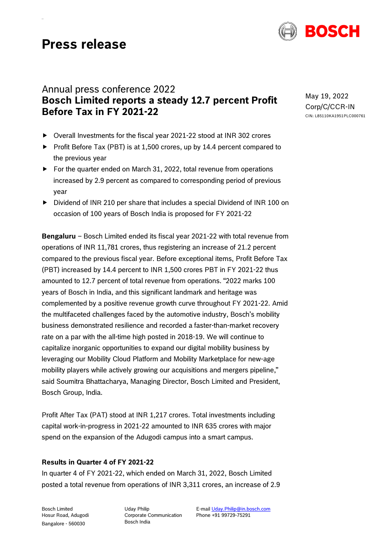# **Press release**



## Annual press conference 2022 **Bosch Limited reports a steady 12.7 percent Profit Before Tax in FY 2021-22**

- $\triangleright$  Overall Investments for the fiscal year 2021-22 stood at INR 302 crores
- $\triangleright$  Profit Before Tax (PBT) is at 1,500 crores, up by 14.4 percent compared to the previous year
- $\triangleright$  For the quarter ended on March 31, 2022, total revenue from operations increased by 2.9 percent as compared to corresponding period of previous year
- $\triangleright$  Dividend of INR 210 per share that includes a special Dividend of INR 100 on occasion of 100 years of Bosch India is proposed for FY 2021-22

**Bengaluru** *–* Bosch Limited ended its fiscal year 2021-22 with total revenue from operations of INR 11,781 crores, thus registering an increase of 21.2 percent compared to the previous fiscal year. Before exceptional items, Profit Before Tax (PBT) increased by 14.4 percent to INR 1,500 crores PBT in FY 2021-22 thus amounted to 12.7 percent of total revenue from operations. "2022 marks 100 years of Bosch in India, and this significant landmark and heritage was complemented by a positive revenue growth curve throughout FY 2021-22. Amid the multifaceted challenges faced by the automotive industry, Bosch's mobility business demonstrated resilience and recorded a faster-than-market recovery rate on a par with the all-time high posted in 2018-19. We will continue to capitalize inorganic opportunities to expand our digital mobility business by leveraging our Mobility Cloud Platform and Mobility Marketplace for new-age mobility players while actively growing our acquisitions and mergers pipeline," said Soumitra Bhattacharya, Managing Director, Bosch Limited and President, Bosch Group, India.

Profit After Tax (PAT) stood at INR 1,217 crores. Total investments including capital work-in-progress in 2021-22 amounted to INR 635 crores with major spend on the expansion of the Adugodi campus into a smart campus.

### **Results in Quarter 4 of FY 2021-22**

In quarter 4 of FY 2021-22, which ended on March 31, 2022, Bosch Limited posted a total revenue from operations of INR 3,311 crores, an increase of 2.9

Bosch Limited Hosur Road, Adugodi Bangalore - 560030

Uday Philip Corporate Communication Bosch India

E-mai[l Uday.Philip@in.bosch.com](mailto:Uday.Philip@in.bosch.com) Phone +91 99729-75291

May 19, 2022 Corp/C/CCR-IN CIN: L85110KA1951PLC000761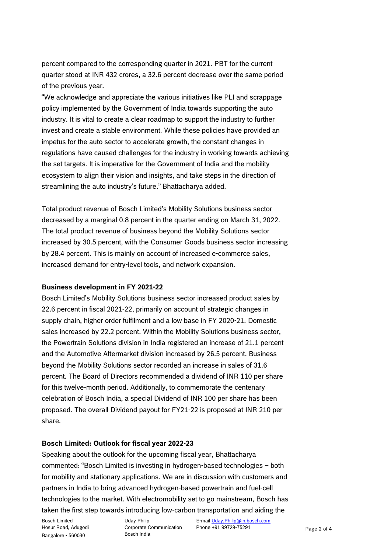percent compared to the corresponding quarter in 2021. PBT for the current quarter stood at INR 432 crores, a 32.6 percent decrease over the same period of the previous year.

"We acknowledge and appreciate the various initiatives like PLI and scrappage policy implemented by the Government of India towards supporting the auto industry. It is vital to create a clear roadmap to support the industry to further invest and create a stable environment. While these policies have provided an impetus for the auto sector to accelerate growth, the constant changes in regulations have caused challenges for the industry in working towards achieving the set targets. It is imperative for the Government of India and the mobility ecosystem to align their vision and insights, and take steps in the direction of streamlining the auto industry's future." Bhattacharya added.

Total product revenue of Bosch Limited's Mobility Solutions business sector decreased by a marginal 0.8 percent in the quarter ending on March 31, 2022. The total product revenue of business beyond the Mobility Solutions sector increased by 30.5 percent, with the Consumer Goods business sector increasing by 28.4 percent. This is mainly on account of increased e-commerce sales, increased demand for entry-level tools, and network expansion.

### **Business development in FY 2021-22**

Bosch Limited's Mobility Solutions business sector increased product sales by 22.6 percent in fiscal 2021-22, primarily on account of strategic changes in supply chain, higher order fulfilment and a low base in FY 2020-21. Domestic sales increased by 22.2 percent. Within the Mobility Solutions business sector, the Powertrain Solutions division in India registered an increase of 21.1 percent and the Automotive Aftermarket division increased by 26.5 percent. Business beyond the Mobility Solutions sector recorded an increase in sales of 31.6 percent. The Board of Directors recommended a dividend of INR 110 per share for this twelve-month period. Additionally, to commemorate the centenary celebration of Bosch India, a special Dividend of INR 100 per share has been proposed. The overall Dividend payout for FY21-22 is proposed at INR 210 per share.

### **Bosch Limited: Outlook for fiscal year 2022-23**

Speaking about the outlook for the upcoming fiscal year, Bhattacharya commented: "Bosch Limited is investing in hydrogen-based technologies – both for mobility and stationary applications. We are in discussion with customers and partners in India to bring advanced hydrogen-based powertrain and fuel-cell technologies to the market. With electromobility set to go mainstream, Bosch has taken the first step towards introducing low-carbon transportation and aiding the

Bosch Limited Hosur Road, Adugodi Bangalore - 560030

Uday Philip Corporate Communication Bosch India

E-mai[l Uday.Philip@in.bosch.com](mailto:Uday.Philip@in.bosch.com) Phone +91 99729-75291 Page 2 of 4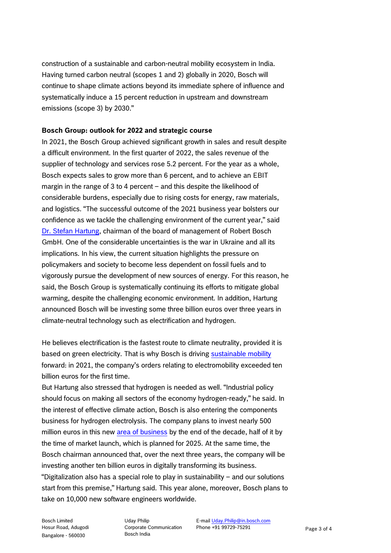construction of a sustainable and carbon-neutral mobility ecosystem in India. Having turned carbon neutral (scopes 1 and 2) globally in 2020, Bosch will continue to shape climate actions beyond its immediate sphere of influence and systematically induce a 15 percent reduction in upstream and downstream emissions (scope 3) by 2030."

### **Bosch Group: outlook for 2022 and strategic course**

In 2021, the Bosch Group achieved significant growth in sales and result despite a difficult environment. In the first quarter of 2022, the sales revenue of the supplier of technology and services rose 5.2 percent. For the year as a whole, Bosch expects sales to grow more than 6 percent, and to achieve an EBIT margin in the range of 3 to 4 percent – and this despite the likelihood of considerable burdens, especially due to rising costs for energy, raw materials, and logistics. "The successful outcome of the 2021 business year bolsters our confidence as we tackle the challenging environment of the current year," said [Dr. Stefan Hartung,](https://www.bosch-presse.de/pressportal/de/en/dr-stefan-hartung-43341.html) chairman of the board of management of Robert Bosch GmbH. One of the considerable uncertainties is the war in Ukraine and all its implications. In his view, the current situation highlights the pressure on policymakers and society to become less dependent on fossil fuels and to vigorously pursue the development of new sources of energy. For this reason, he said, the Bosch Group is systematically continuing its efforts to mitigate global warming, despite the challenging economic environment. In addition, Hartung announced Bosch will be investing some three billion euros over three years in climate-neutral technology such as electrification and hydrogen.

He believes electrification is the fastest route to climate neutrality, provided it is based on green electricity. That is why Bosch is driving [sustainable mobility](https://www.bosch-presse.de/pressportal/de/de/iaa-mobility-klimaschonende-loesungen-fuer-alle-arten-der-mobilitaet-%E2%80%93-bosch-setzt-mit-elektromobilitaet-mehr-als-eine-milliarde-euro-um-232640.html) forward: in 2021, the company's orders relating to electromobility exceeded ten billion euros for the first time.

But Hartung also stressed that hydrogen is needed as well. "Industrial policy should focus on making all sectors of the economy hydrogen-ready," he said. In the interest of effective climate action, Bosch is also entering the components business for hydrogen electrolysis. The company plans to invest nearly 500 million euros in this new [area of business](https://www.bosch-presse.de/pressportal/de/de/neues-geschaeftsfeld-bosch-steigt-in-komponenten-entwicklung-fuer-die-wasserstoff-elektrolyse-ein-240065.html) by the end of the decade, half of it by the time of market launch, which is planned for 2025. At the same time, the Bosch chairman announced that, over the next three years, the company will be investing another ten billion euros in digitally transforming its business. "Digitalization also has a special role to play in sustainability – and our solutions start from this premise," Hartung said. This year alone, moreover, Bosch plans to take on 10,000 new software engineers worldwide.

Bosch Limited Hosur Road, Adugodi Bangalore - 560030

Uday Philip Corporate Communication Bosch India

E-mai[l Uday.Philip@in.bosch.com](mailto:Uday.Philip@in.bosch.com) Phone +91 99729-75291 Page 3 of 4